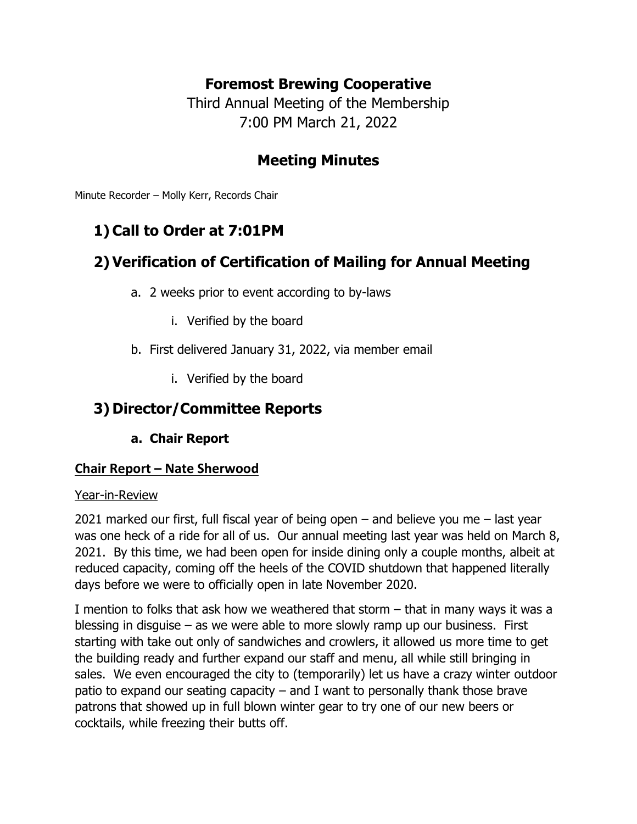## **Foremost Brewing Cooperative**

Third Annual Meeting of the Membership 7:00 PM March 21, 2022

## **Meeting Minutes**

Minute Recorder – Molly Kerr, Records Chair

# **1) Call to Order at 7:01PM**

# **2) Verification of Certification of Mailing for Annual Meeting**

- a. 2 weeks prior to event according to by-laws
	- i. Verified by the board
- b. First delivered January 31, 2022, via member email
	- i. Verified by the board

## **3) Director/Committee Reports**

**a. Chair Report**

#### **Chair Report – Nate Sherwood**

#### Year-in-Review

2021 marked our first, full fiscal year of being open – and believe you me – last year was one heck of a ride for all of us. Our annual meeting last year was held on March 8, 2021. By this time, we had been open for inside dining only a couple months, albeit at reduced capacity, coming off the heels of the COVID shutdown that happened literally days before we were to officially open in late November 2020.

I mention to folks that ask how we weathered that storm – that in many ways it was a blessing in disguise – as we were able to more slowly ramp up our business. First starting with take out only of sandwiches and crowlers, it allowed us more time to get the building ready and further expand our staff and menu, all while still bringing in sales. We even encouraged the city to (temporarily) let us have a crazy winter outdoor patio to expand our seating capacity – and I want to personally thank those brave patrons that showed up in full blown winter gear to try one of our new beers or cocktails, while freezing their butts off.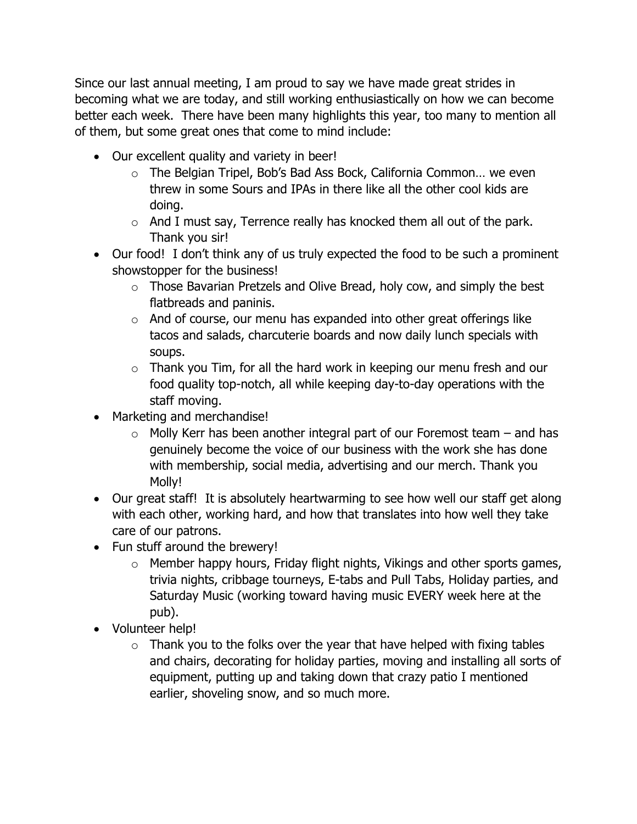Since our last annual meeting, I am proud to say we have made great strides in becoming what we are today, and still working enthusiastically on how we can become better each week. There have been many highlights this year, too many to mention all of them, but some great ones that come to mind include:

- Our excellent quality and variety in beer!
	- o The Belgian Tripel, Bob's Bad Ass Bock, California Common… we even threw in some Sours and IPAs in there like all the other cool kids are doing.
	- $\circ$  And I must say, Terrence really has knocked them all out of the park. Thank you sir!
- Our food! I don't think any of us truly expected the food to be such a prominent showstopper for the business!
	- $\circ$  Those Bavarian Pretzels and Olive Bread, holy cow, and simply the best flatbreads and paninis.
	- $\circ$  And of course, our menu has expanded into other great offerings like tacos and salads, charcuterie boards and now daily lunch specials with soups.
	- $\circ$  Thank you Tim, for all the hard work in keeping our menu fresh and our food quality top-notch, all while keeping day-to-day operations with the staff moving.
- Marketing and merchandise!
	- $\circ$  Molly Kerr has been another integral part of our Foremost team and has genuinely become the voice of our business with the work she has done with membership, social media, advertising and our merch. Thank you Molly!
- Our great staff! It is absolutely heartwarming to see how well our staff get along with each other, working hard, and how that translates into how well they take care of our patrons.
- Fun stuff around the brewery!
	- $\circ$  Member happy hours, Friday flight nights, Vikings and other sports games, trivia nights, cribbage tourneys, E-tabs and Pull Tabs, Holiday parties, and Saturday Music (working toward having music EVERY week here at the pub).
- Volunteer help!
	- $\circ$  Thank you to the folks over the year that have helped with fixing tables and chairs, decorating for holiday parties, moving and installing all sorts of equipment, putting up and taking down that crazy patio I mentioned earlier, shoveling snow, and so much more.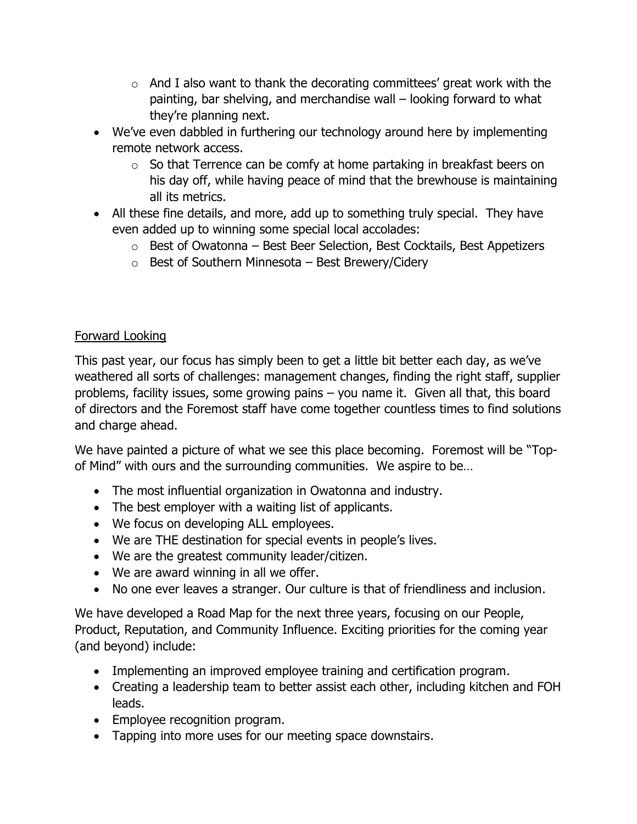- $\circ$  And I also want to thank the decorating committees' great work with the painting, bar shelving, and merchandise wall – looking forward to what they're planning next.
- We've even dabbled in furthering our technology around here by implementing remote network access.
	- $\circ$  So that Terrence can be comfy at home partaking in breakfast beers on his day off, while having peace of mind that the brewhouse is maintaining all its metrics.
- All these fine details, and more, add up to something truly special. They have even added up to winning some special local accolades:
	- $\circ$  Best of Owatonna Best Beer Selection, Best Cocktails, Best Appetizers
	- $\circ$  Best of Southern Minnesota Best Brewery/Cidery

#### Forward Looking

This past year, our focus has simply been to get a little bit better each day, as we've weathered all sorts of challenges: management changes, finding the right staff, supplier problems, facility issues, some growing pains – you name it. Given all that, this board of directors and the Foremost staff have come together countless times to find solutions and charge ahead.

We have painted a picture of what we see this place becoming. Foremost will be "Topof Mind" with ours and the surrounding communities. We aspire to be…

- The most influential organization in Owatonna and industry.
- The best employer with a waiting list of applicants.
- We focus on developing ALL employees.
- We are THE destination for special events in people's lives.
- We are the greatest community leader/citizen.
- We are award winning in all we offer.
- No one ever leaves a stranger. Our culture is that of friendliness and inclusion.

We have developed a Road Map for the next three years, focusing on our People, Product, Reputation, and Community Influence. Exciting priorities for the coming year (and beyond) include:

- Implementing an improved employee training and certification program.
- Creating a leadership team to better assist each other, including kitchen and FOH leads.
- Employee recognition program.
- Tapping into more uses for our meeting space downstairs.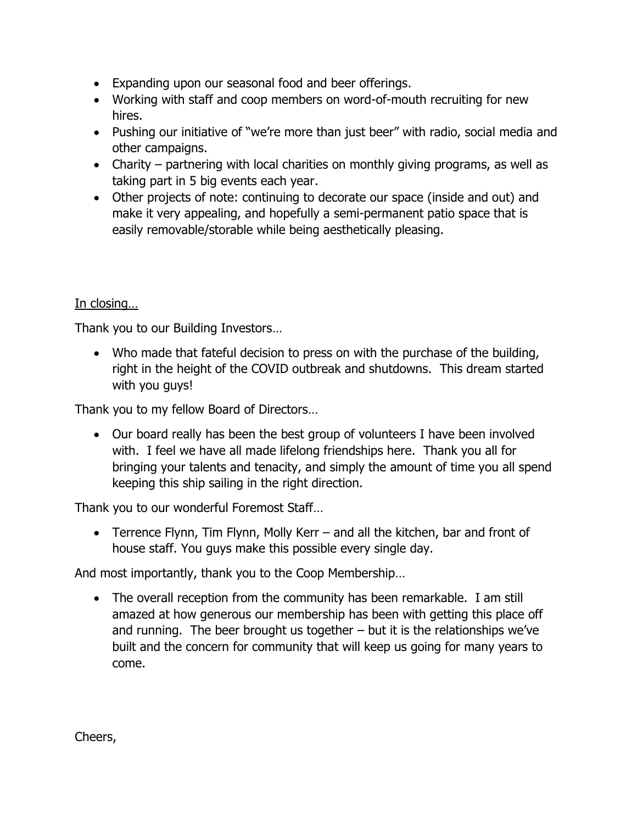- Expanding upon our seasonal food and beer offerings.
- Working with staff and coop members on word-of-mouth recruiting for new hires.
- Pushing our initiative of "we're more than just beer" with radio, social media and other campaigns.
- Charity partnering with local charities on monthly giving programs, as well as taking part in 5 big events each year.
- Other projects of note: continuing to decorate our space (inside and out) and make it very appealing, and hopefully a semi-permanent patio space that is easily removable/storable while being aesthetically pleasing.

## In closing…

Thank you to our Building Investors…

• Who made that fateful decision to press on with the purchase of the building, right in the height of the COVID outbreak and shutdowns. This dream started with you guys!

Thank you to my fellow Board of Directors…

• Our board really has been the best group of volunteers I have been involved with. I feel we have all made lifelong friendships here. Thank you all for bringing your talents and tenacity, and simply the amount of time you all spend keeping this ship sailing in the right direction.

Thank you to our wonderful Foremost Staff…

• Terrence Flynn, Tim Flynn, Molly Kerr – and all the kitchen, bar and front of house staff. You guys make this possible every single day.

And most importantly, thank you to the Coop Membership…

• The overall reception from the community has been remarkable. I am still amazed at how generous our membership has been with getting this place off and running. The beer brought us together  $-$  but it is the relationships we've built and the concern for community that will keep us going for many years to come.

Cheers,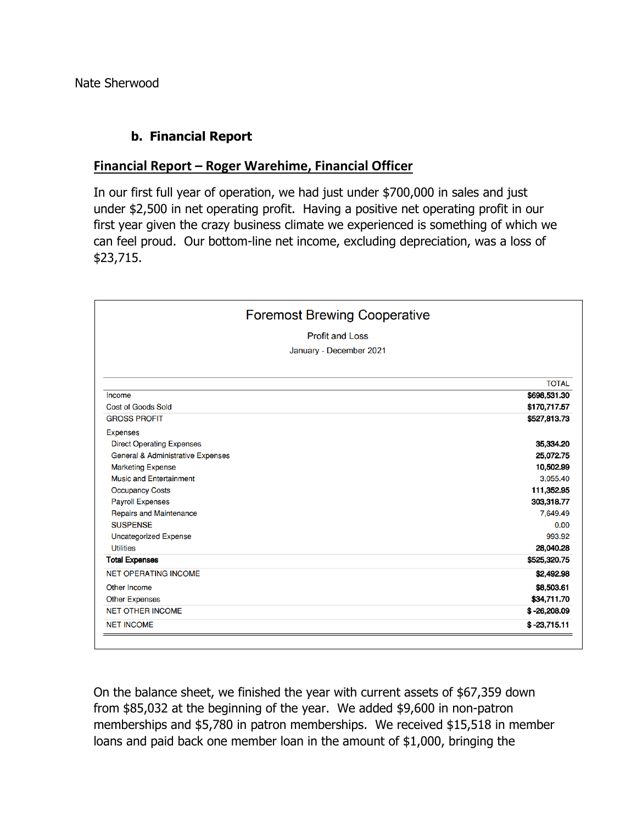Nate Sherwood

#### **b. Financial Report**

#### **Financial Report – Roger Warehime, Financial Officer**

In our first full year of operation, we had just under \$700,000 in sales and just under \$2,500 in net operating profit. Having a positive net operating profit in our first year given the crazy business climate we experienced is something of which we can feel proud. Our bottom-line net income, excluding depreciation, was a loss of \$23,715.

| <b>Foremost Brewing Cooperative</b><br><b>Profit and Loss</b><br>January - December 2021 |                |                           |              |
|------------------------------------------------------------------------------------------|----------------|---------------------------|--------------|
|                                                                                          |                |                           | <b>TOTAL</b> |
|                                                                                          |                | Income                    | \$698,531.30 |
|                                                                                          |                | <b>Cost of Goods Sold</b> | \$170,717.57 |
| <b>GROSS PROFIT</b>                                                                      | \$527,813.73   |                           |              |
| <b>Expenses</b>                                                                          |                |                           |              |
| <b>Direct Operating Expenses</b>                                                         | 35,334.20      |                           |              |
| <b>General &amp; Administrative Expenses</b>                                             | 25,072.75      |                           |              |
| <b>Marketing Expense</b>                                                                 | 10,502.99      |                           |              |
| <b>Music and Entertainment</b>                                                           | 3,055.40       |                           |              |
| <b>Occupancy Costs</b>                                                                   | 111,352.95     |                           |              |
| <b>Payroll Expenses</b>                                                                  | 303,318.77     |                           |              |
| <b>Repairs and Maintenance</b>                                                           | 7,649.49       |                           |              |
| <b>SUSPENSE</b>                                                                          | 0.00           |                           |              |
| <b>Uncategorized Expense</b>                                                             | 993.92         |                           |              |
| <b>Utilities</b>                                                                         | 28,040.28      |                           |              |
| <b>Total Expenses</b>                                                                    | \$525,320.75   |                           |              |
| <b>NET OPERATING INCOME</b>                                                              | \$2,492.98     |                           |              |
| Other Income                                                                             | \$8,503.61     |                           |              |
| <b>Other Expenses</b>                                                                    | \$34,711.70    |                           |              |
| <b>NET OTHER INCOME</b>                                                                  | $$ -26,208.09$ |                           |              |
| <b>NET INCOME</b>                                                                        | $$ -23,715.11$ |                           |              |

On the balance sheet, we finished the year with current assets of \$67,359 down from \$85,032 at the beginning of the year. We added \$9,600 in non-patron memberships and \$5,780 in patron memberships. We received \$15,518 in member loans and paid back one member loan in the amount of \$1,000, bringing the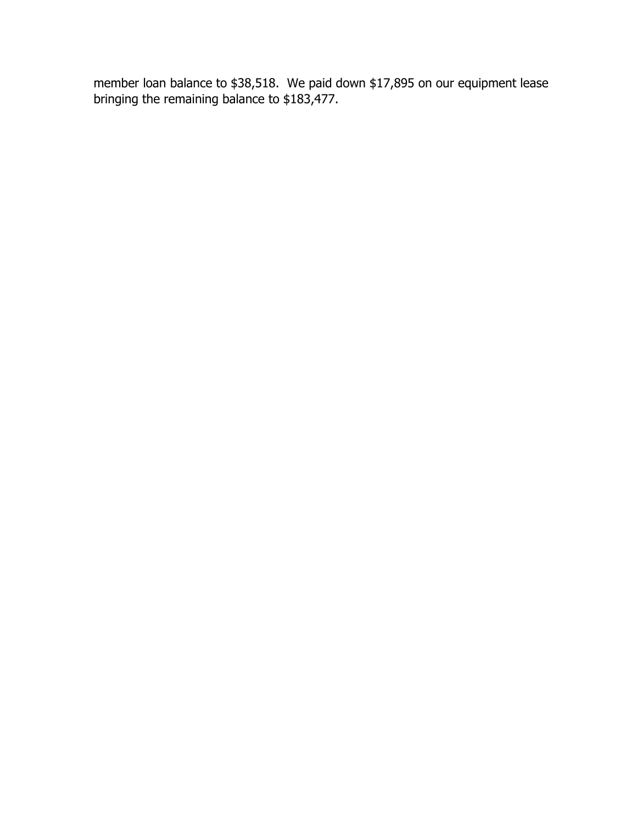member loan balance to \$38,518. We paid down \$17,895 on our equipment lease bringing the remaining balance to \$183,477.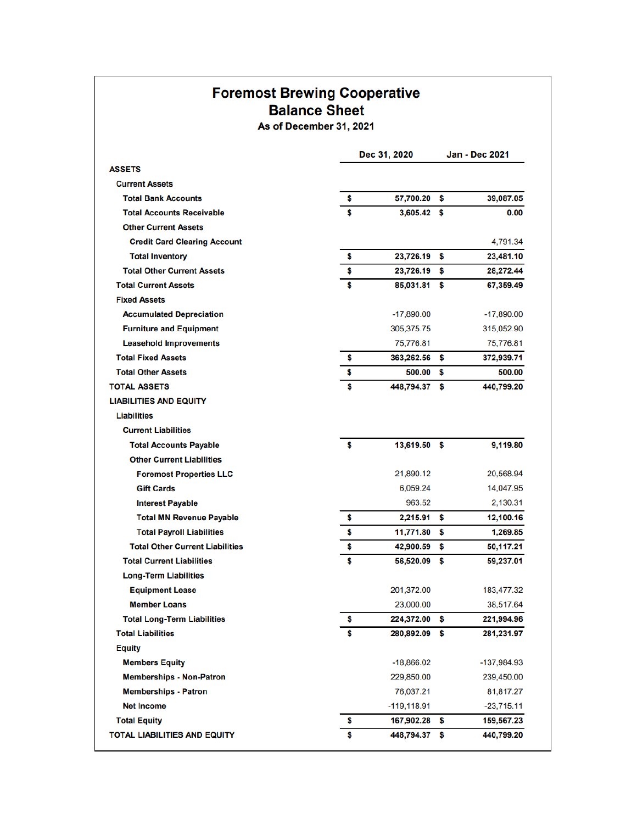## **Foremost Brewing Cooperative Balance Sheet**

As of December 31, 2021

Dec 31, 2020 **Jan - Dec 2021 ASSETS Current Assets Total Bank Accounts** Ś 57,700.20 \$ 39,087.05 **Total Accounts Receivable** ¢  $3,605.42$  \$  $0.00$ **Other Current Assets Credit Card Clearing Account** 4,791.34 **Total Inventory** \$ 23,726.19 \$ 23,481.10 **Total Other Current Assets** 23,726.19 28,272.44 \$ **Total Current Assets** 85,031.81 \$ 67,359.49 **Fixed Assets Accumulated Depreciation**  $-17,890.00$  $-17,890.00$ 305,375.75 315,052.90 **Furniture and Equipment Leasehold Improvements** 75,776.81 75,776.81 **Total Fixed Assets** 363,262.56 \$ 372,939.71 \$ **Total Other Assets** \$ 500.00  $\mathbf{s}$ 500.00 **TOTAL ASSETS** 448,794.37 \$ 440,799.20 **LIABILITIES AND EQUITY Liabilities Current Liabilities Total Accounts Payable** \$ 13,619.50 \$ 9,119.80 **Other Current Liabilities** 21.890.12 20.568.94 **Foremost Properties LLC** 6,059.24 14,047.95 **Gift Cards Interest Payable** 963.52 2,130.31 **Total MN Revenue Payable** 2,215.91 12,100.16 \$ \$ \$ 1,269.85 **Total Payroll Liabilities** 11,771.80 \$ **Total Other Current Liabilities** \$ 42,900.59 50,117.21 S **Total Current Liabilities** \$ 56,520.09  $\bullet$ 59,237.01 **Long-Term Liabilities** 201,372.00 183,477.32 **Equipment Lease Member Loans** 23,000.00 38,517.64 **Total Long-Term Liabilities** 224,372.00 \$ 221,994.96 Ś **Total Liabilities** 280,892.09  $$S$ 281,231.97 **Equity Members Equity**  $-18,866.02$  $-137,984.93$ **Memberships - Non-Patron** 229,850.00 239,450.00 **Memberships - Patron** 76,037.21 81,817.27 **Net Income**  $-119, 118.91$  $-23,715.11$ **Total Equity** 167,902.28 \$ 159,567.23 \$ 440,799.20 **TOTAL LIABILITIES AND EQUITY** Ś 448,794.37 \$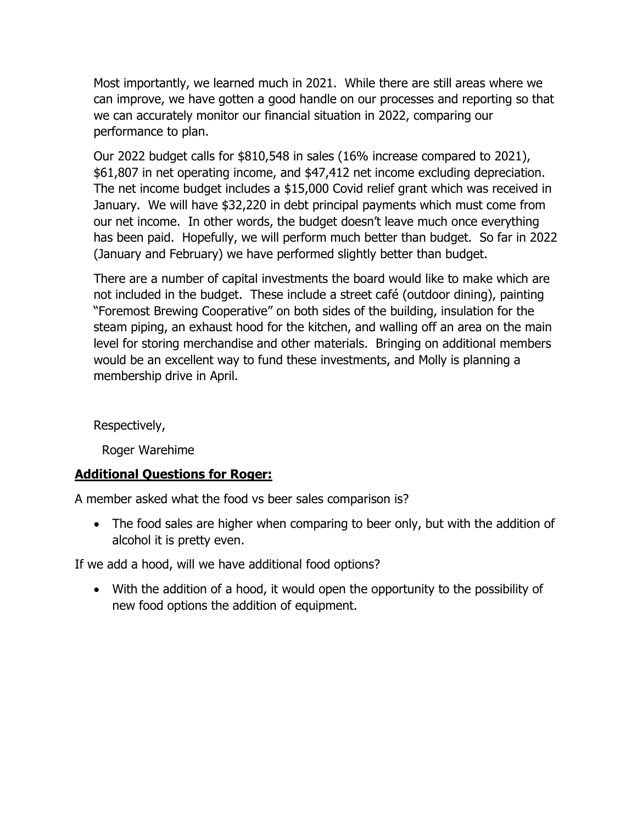Most importantly, we learned much in 2021. While there are still areas where we can improve, we have gotten a good handle on our processes and reporting so that we can accurately monitor our financial situation in 2022, comparing our performance to plan.

Our 2022 budget calls for \$810,548 in sales (16% increase compared to 2021), \$61,807 in net operating income, and \$47,412 net income excluding depreciation. The net income budget includes a \$15,000 Covid relief grant which was received in January. We will have \$32,220 in debt principal payments which must come from our net income. In other words, the budget doesn't leave much once everything has been paid. Hopefully, we will perform much better than budget. So far in 2022 (January and February) we have performed slightly better than budget.

There are a number of capital investments the board would like to make which are not included in the budget. These include a street café (outdoor dining), painting "Foremost Brewing Cooperative" on both sides of the building, insulation for the steam piping, an exhaust hood for the kitchen, and walling off an area on the main level for storing merchandise and other materials. Bringing on additional members would be an excellent way to fund these investments, and Molly is planning a membership drive in April.

Respectively,

Roger Warehime

#### **Additional Questions for Roger:**

A member asked what the food vs beer sales comparison is?

• The food sales are higher when comparing to beer only, but with the addition of alcohol it is pretty even.

If we add a hood, will we have additional food options?

• With the addition of a hood, it would open the opportunity to the possibility of new food options the addition of equipment.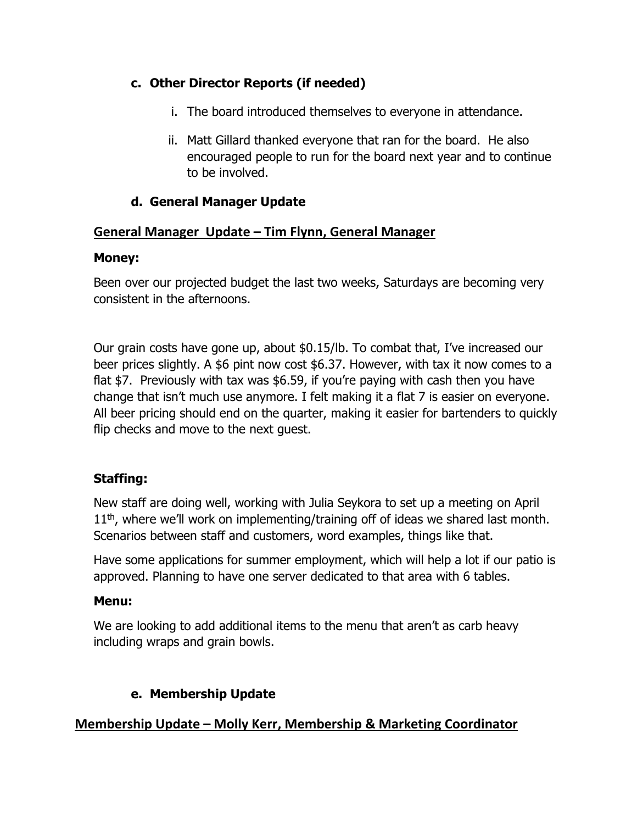#### **c. Other Director Reports (if needed)**

- i. The board introduced themselves to everyone in attendance.
- ii. Matt Gillard thanked everyone that ran for the board. He also encouraged people to run for the board next year and to continue to be involved.

#### **d. General Manager Update**

#### **General Manager Update – Tim Flynn, General Manager**

#### **Money:**

Been over our projected budget the last two weeks, Saturdays are becoming very consistent in the afternoons.

Our grain costs have gone up, about \$0.15/lb. To combat that, I've increased our beer prices slightly. A \$6 pint now cost \$6.37. However, with tax it now comes to a flat \$7. Previously with tax was \$6.59, if you're paying with cash then you have change that isn't much use anymore. I felt making it a flat 7 is easier on everyone. All beer pricing should end on the quarter, making it easier for bartenders to quickly flip checks and move to the next guest.

#### **Staffing:**

New staff are doing well, working with Julia Seykora to set up a meeting on April  $11<sup>th</sup>$ , where we'll work on implementing/training off of ideas we shared last month. Scenarios between staff and customers, word examples, things like that.

Have some applications for summer employment, which will help a lot if our patio is approved. Planning to have one server dedicated to that area with 6 tables.

#### **Menu:**

We are looking to add additional items to the menu that aren't as carb heavy including wraps and grain bowls.

#### **e. Membership Update**

#### **Membership Update – Molly Kerr, Membership & Marketing Coordinator**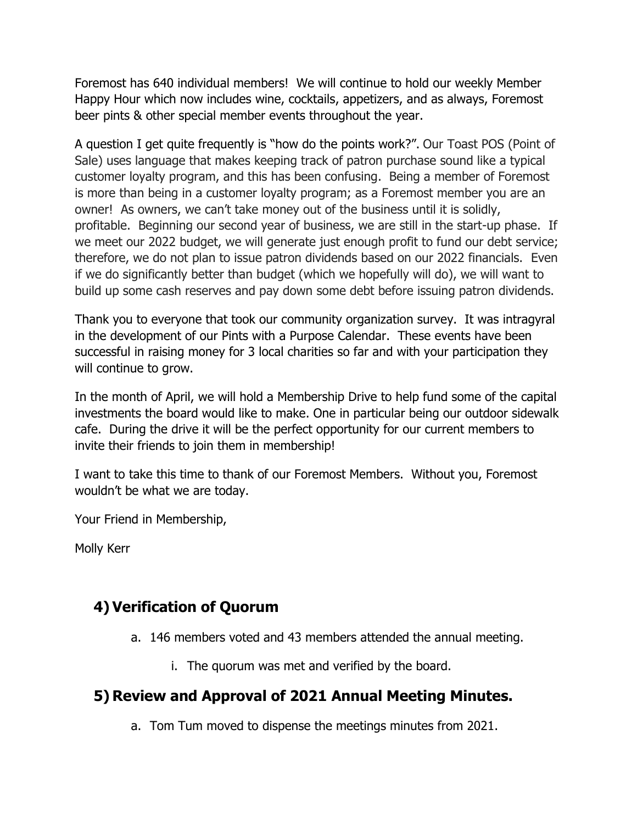Foremost has 640 individual members! We will continue to hold our weekly Member Happy Hour which now includes wine, cocktails, appetizers, and as always, Foremost beer pints & other special member events throughout the year.

A question I get quite frequently is "how do the points work?". Our Toast POS (Point of Sale) uses language that makes keeping track of patron purchase sound like a typical customer loyalty program, and this has been confusing. Being a member of Foremost is more than being in a customer loyalty program; as a Foremost member you are an owner! As owners, we can't take money out of the business until it is solidly, profitable. Beginning our second year of business, we are still in the start-up phase. If we meet our 2022 budget, we will generate just enough profit to fund our debt service; therefore, we do not plan to issue patron dividends based on our 2022 financials. Even if we do significantly better than budget (which we hopefully will do), we will want to build up some cash reserves and pay down some debt before issuing patron dividends.

Thank you to everyone that took our community organization survey. It was intragyral in the development of our Pints with a Purpose Calendar. These events have been successful in raising money for 3 local charities so far and with your participation they will continue to grow.

In the month of April, we will hold a Membership Drive to help fund some of the capital investments the board would like to make. One in particular being our outdoor sidewalk cafe. During the drive it will be the perfect opportunity for our current members to invite their friends to join them in membership!

I want to take this time to thank of our Foremost Members. Without you, Foremost wouldn't be what we are today.

Your Friend in Membership,

Molly Kerr

## **4) Verification of Quorum**

- a. 146 members voted and 43 members attended the annual meeting.
	- i. The quorum was met and verified by the board.

## **5) Review and Approval of 2021 Annual Meeting Minutes.**

a. Tom Tum moved to dispense the meetings minutes from 2021.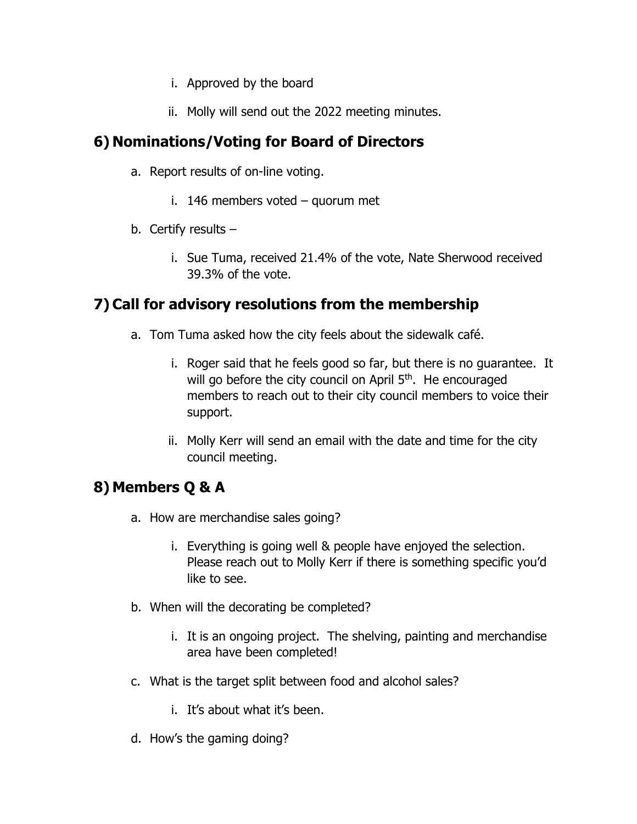- i. Approved by the board
- ii. Molly will send out the 2022 meeting minutes.

## **6) Nominations/Voting for Board of Directors**

- a. Report results of on-line voting.
	- i. 146 members voted quorum met
- b. Certify results  $$ 
	- i. Sue Tuma, received 21.4% of the vote, Nate Sherwood received 39.3% of the vote.

## **7) Call for advisory resolutions from the membership**

- a. Tom Tuma asked how the city feels about the sidewalk café.
	- i. Roger said that he feels good so far, but there is no guarantee. It will go before the city council on April 5<sup>th</sup>. He encouraged members to reach out to their city council members to voice their support.
	- ii. Molly Kerr will send an email with the date and time for the city council meeting.

## **8) Members Q & A**

- a. How are merchandise sales going?
	- i. Everything is going well & people have enjoyed the selection. Please reach out to Molly Kerr if there is something specific you'd like to see.
- b. When will the decorating be completed?
	- i. It is an ongoing project. The shelving, painting and merchandise area have been completed!
- c. What is the target split between food and alcohol sales?
	- i. It's about what it's been.
- d. How's the gaming doing?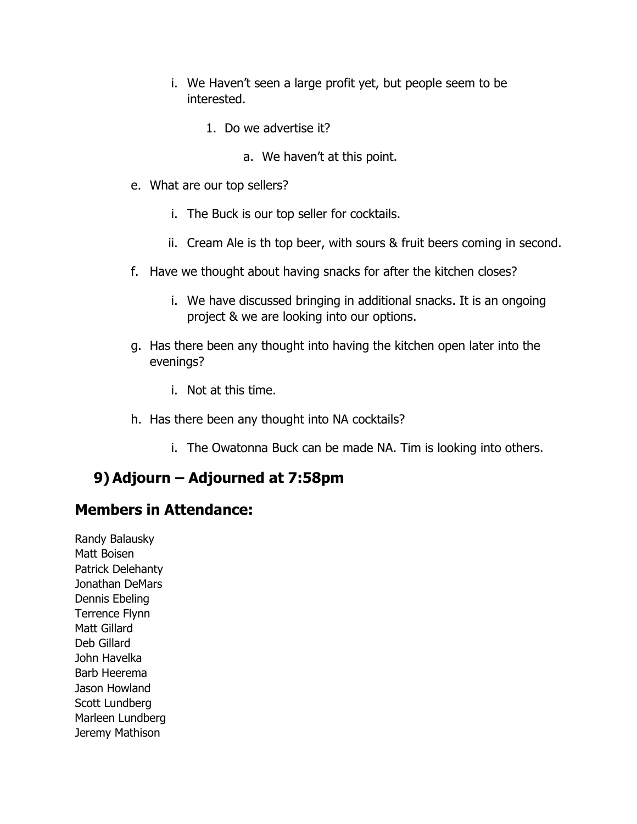- i. We Haven't seen a large profit yet, but people seem to be interested.
	- 1. Do we advertise it?
		- a. We haven't at this point.
- e. What are our top sellers?
	- i. The Buck is our top seller for cocktails.
	- ii. Cream Ale is th top beer, with sours & fruit beers coming in second.
- f. Have we thought about having snacks for after the kitchen closes?
	- i. We have discussed bringing in additional snacks. It is an ongoing project & we are looking into our options.
- g. Has there been any thought into having the kitchen open later into the evenings?
	- i. Not at this time.
- h. Has there been any thought into NA cocktails?
	- i. The Owatonna Buck can be made NA. Tim is looking into others.

## **9) Adjourn – Adjourned at 7:58pm**

## **Members in Attendance:**

Randy Balausky Matt Boisen Patrick Delehanty Jonathan DeMars Dennis Ebeling Terrence Flynn Matt Gillard Deb Gillard John Havelka Barb Heerema Jason Howland Scott Lundberg Marleen Lundberg Jeremy Mathison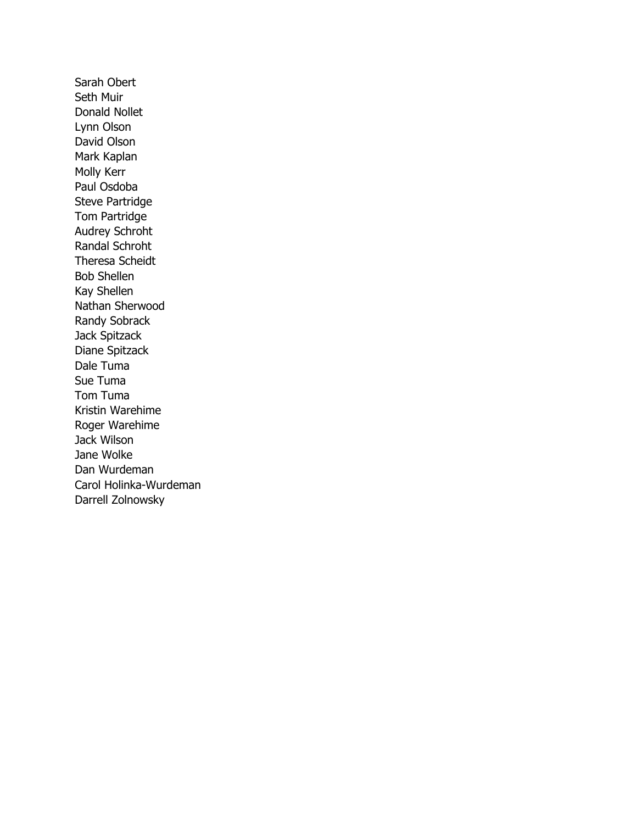Sarah Obert Seth Muir Donald Nollet Lynn Olson David Olson Mark Kaplan Molly Kerr Paul Osdoba Steve Partridge Tom Partridge Audrey Schroht Randal Schroht Theresa Scheidt Bob Shellen Kay Shellen Nathan Sherwood Randy Sobrack Jack Spitzack Diane Spitzack Dale Tuma Sue Tuma Tom Tuma Kristin Warehime Roger Warehime Jack Wilson Jane Wolke Dan Wurdeman Carol Holinka-Wurdeman Darrell Zolnowsky